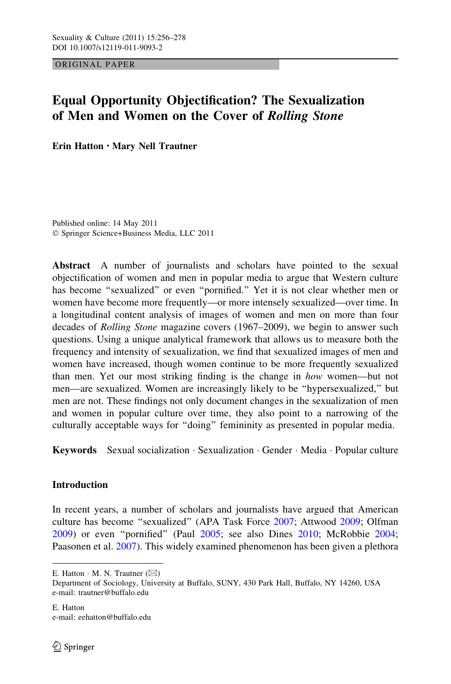ORIGINAL PAPER

# Equal Opportunity Objectification? The Sexualization of Men and Women on the Cover of Rolling Stone

Erin Hatton • Mary Nell Trautner

Published online: 14 May 2011 - Springer Science+Business Media, LLC 2011

Abstract A number of journalists and scholars have pointed to the sexual objectification of women and men in popular media to argue that Western culture has become ''sexualized'' or even ''pornified.'' Yet it is not clear whether men or women have become more frequently—or more intensely sexualized—over time. In a longitudinal content analysis of images of women and men on more than four decades of Rolling Stone magazine covers (1967–2009), we begin to answer such questions. Using a unique analytical framework that allows us to measure both the frequency and intensity of sexualization, we find that sexualized images of men and women have increased, though women continue to be more frequently sexualized than men. Yet our most striking finding is the change in how women—but not men—are sexualized. Women are increasingly likely to be ''hypersexualized,'' but men are not. These findings not only document changes in the sexualization of men and women in popular culture over time, they also point to a narrowing of the culturally acceptable ways for ''doing'' femininity as presented in popular media.

Keywords Sexual socialization · Sexualization · Gender · Media · Popular culture

## Introduction

In recent years, a number of scholars and journalists have argued that American culture has become ''sexualized'' (APA Task Force [2007;](#page-19-0) Attwood [2009](#page-19-0); Olfman [2009\)](#page-21-0) or even ''pornified'' (Paul [2005](#page-21-0); see also Dines [2010](#page-19-0); McRobbie [2004;](#page-20-0) Paasonen et al. [2007](#page-21-0)). This widely examined phenomenon has been given a plethora

E. Hatton  $\cdot$  M. N. Trautner ( $\boxtimes$ )

Department of Sociology, University at Buffalo, SUNY, 430 Park Hall, Buffalo, NY 14260, USA e-mail: trautner@buffalo.edu

E. Hatton e-mail: eehatton@buffalo.edu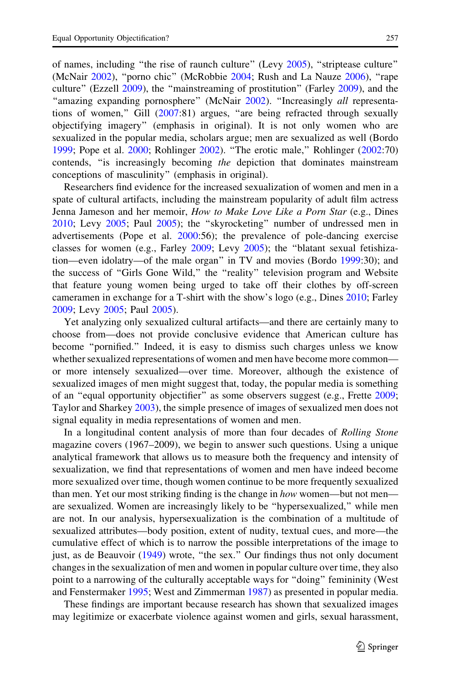of names, including ''the rise of raunch culture'' (Levy [2005](#page-20-0)), ''striptease culture'' (McNair [2002\)](#page-20-0), ''porno chic'' (McRobbie [2004](#page-20-0); Rush and La Nauze [2006](#page-21-0)), ''rape culture'' (Ezzell [2009](#page-19-0)), the ''mainstreaming of prostitution'' (Farley [2009\)](#page-19-0), and the ''amazing expanding pornosphere'' (McNair [2002](#page-20-0)). ''Increasingly all representa-tions of women," Gill [\(2007](#page-19-0):81) argues, "are being refracted through sexually objectifying imagery'' (emphasis in original). It is not only women who are sexualized in the popular media, scholars argue; men are sexualized as well (Bordo [1999;](#page-19-0) Pope et al. [2000;](#page-21-0) Rohlinger [2002](#page-21-0)). ''The erotic male,'' Rohlinger [\(2002](#page-21-0):70) contends, "is increasingly becoming the depiction that dominates mainstream conceptions of masculinity'' (emphasis in original).

Researchers find evidence for the increased sexualization of women and men in a spate of cultural artifacts, including the mainstream popularity of adult film actress Jenna Jameson and her memoir, How to Make Love Like a Porn Star (e.g., Dines [2010;](#page-19-0) Levy [2005](#page-20-0); Paul [2005\)](#page-21-0); the ''skyrocketing'' number of undressed men in advertisements (Pope et al. [2000](#page-21-0):56); the prevalence of pole-dancing exercise classes for women (e.g., Farley [2009](#page-19-0); Levy [2005\)](#page-20-0); the ''blatant sexual fetishization—even idolatry—of the male organ'' in TV and movies (Bordo [1999:](#page-19-0)30); and the success of ''Girls Gone Wild,'' the ''reality'' television program and Website that feature young women being urged to take off their clothes by off-screen cameramen in exchange for a T-shirt with the show's logo (e.g., Dines [2010](#page-19-0); Farley [2009;](#page-19-0) Levy [2005;](#page-20-0) Paul [2005](#page-21-0)).

Yet analyzing only sexualized cultural artifacts—and there are certainly many to choose from—does not provide conclusive evidence that American culture has become ''pornified.'' Indeed, it is easy to dismiss such charges unless we know whether sexualized representations of women and men have become more common or more intensely sexualized—over time. Moreover, although the existence of sexualized images of men might suggest that, today, the popular media is something of an ''equal opportunity objectifier'' as some observers suggest (e.g., Frette [2009;](#page-19-0) Taylor and Sharkey [2003](#page-21-0)), the simple presence of images of sexualized men does not signal equality in media representations of women and men.

In a longitudinal content analysis of more than four decades of Rolling Stone magazine covers (1967–2009), we begin to answer such questions. Using a unique analytical framework that allows us to measure both the frequency and intensity of sexualization, we find that representations of women and men have indeed become more sexualized over time, though women continue to be more frequently sexualized than men. Yet our most striking finding is the change in *how* women—but not men are sexualized. Women are increasingly likely to be ''hypersexualized,'' while men are not. In our analysis, hypersexualization is the combination of a multitude of sexualized attributes—body position, extent of nudity, textual cues, and more—the cumulative effect of which is to narrow the possible interpretations of the image to just, as de Beauvoir [\(1949](#page-19-0)) wrote, ''the sex.'' Our findings thus not only document changes in the sexualization of men and women in popular culture over time, they also point to a narrowing of the culturally acceptable ways for ''doing'' femininity (West and Fenstermaker [1995;](#page-22-0) West and Zimmerman [1987](#page-22-0)) as presented in popular media.

These findings are important because research has shown that sexualized images may legitimize or exacerbate violence against women and girls, sexual harassment,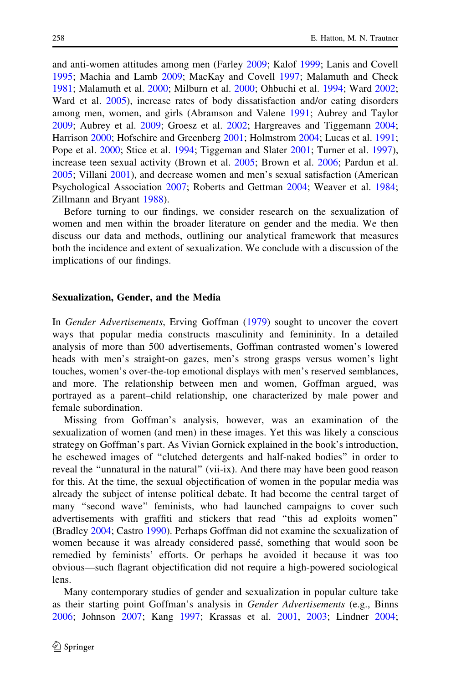and anti-women attitudes among men (Farley [2009](#page-19-0); Kalof [1999](#page-20-0); Lanis and Covell [1995;](#page-20-0) Machia and Lamb [2009;](#page-20-0) MacKay and Covell [1997](#page-20-0); Malamuth and Check [1981;](#page-20-0) Malamuth et al. [2000;](#page-20-0) Milburn et al. [2000](#page-20-0); Ohbuchi et al. [1994;](#page-21-0) Ward [2002;](#page-21-0) Ward et al. [2005](#page-21-0)), increase rates of body dissatisfaction and/or eating disorders among men, women, and girls (Abramson and Valene [1991](#page-19-0); Aubrey and Taylor [2009;](#page-19-0) Aubrey et al. [2009;](#page-19-0) Groesz et al. [2002](#page-19-0); Hargreaves and Tiggemann [2004;](#page-20-0) Harrison [2000;](#page-20-0) Hofschire and Greenberg [2001;](#page-20-0) Holmstrom [2004](#page-20-0); Lucas et al. [1991;](#page-20-0) Pope et al. [2000](#page-21-0); Stice et al. [1994;](#page-21-0) Tiggeman and Slater [2001](#page-21-0); Turner et al. [1997\)](#page-21-0), increase teen sexual activity (Brown et al. [2005;](#page-19-0) Brown et al. [2006;](#page-19-0) Pardun et al. [2005;](#page-21-0) Villani [2001\)](#page-21-0), and decrease women and men's sexual satisfaction (American Psychological Association [2007;](#page-19-0) Roberts and Gettman [2004;](#page-21-0) Weaver et al. [1984;](#page-22-0) Zillmann and Bryant [1988](#page-22-0)).

Before turning to our findings, we consider research on the sexualization of women and men within the broader literature on gender and the media. We then discuss our data and methods, outlining our analytical framework that measures both the incidence and extent of sexualization. We conclude with a discussion of the implications of our findings.

#### Sexualization, Gender, and the Media

In Gender Advertisements, Erving Goffman [\(1979](#page-19-0)) sought to uncover the covert ways that popular media constructs masculinity and femininity. In a detailed analysis of more than 500 advertisements, Goffman contrasted women's lowered heads with men's straight-on gazes, men's strong grasps versus women's light touches, women's over-the-top emotional displays with men's reserved semblances, and more. The relationship between men and women, Goffman argued, was portrayed as a parent–child relationship, one characterized by male power and female subordination.

Missing from Goffman's analysis, however, was an examination of the sexualization of women (and men) in these images. Yet this was likely a conscious strategy on Goffman's part. As Vivian Gornick explained in the book's introduction, he eschewed images of ''clutched detergents and half-naked bodies'' in order to reveal the ''unnatural in the natural'' (vii-ix). And there may have been good reason for this. At the time, the sexual objectification of women in the popular media was already the subject of intense political debate. It had become the central target of many ''second wave'' feminists, who had launched campaigns to cover such advertisements with graffiti and stickers that read ''this ad exploits women'' (Bradley [2004](#page-19-0); Castro [1990](#page-19-0)). Perhaps Goffman did not examine the sexualization of women because it was already considered passé, something that would soon be remedied by feminists' efforts. Or perhaps he avoided it because it was too obvious—such flagrant objectification did not require a high-powered sociological lens.

Many contemporary studies of gender and sexualization in popular culture take as their starting point Goffman's analysis in Gender Advertisements (e.g., Binns [2006;](#page-19-0) Johnson [2007;](#page-20-0) Kang [1997](#page-20-0); Krassas et al. [2001](#page-20-0), [2003;](#page-20-0) Lindner [2004;](#page-20-0)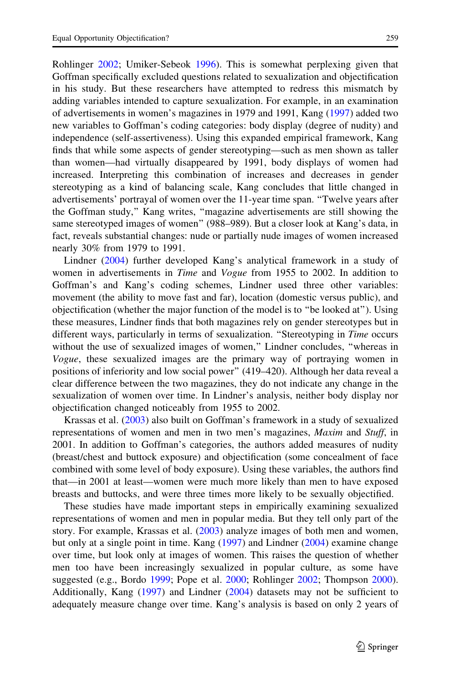Rohlinger [2002](#page-21-0); Umiker-Sebeok [1996\)](#page-21-0). This is somewhat perplexing given that Goffman specifically excluded questions related to sexualization and objectification in his study. But these researchers have attempted to redress this mismatch by adding variables intended to capture sexualization. For example, in an examination of advertisements in women's magazines in 1979 and 1991, Kang [\(1997](#page-20-0)) added two new variables to Goffman's coding categories: body display (degree of nudity) and independence (self-assertiveness). Using this expanded empirical framework, Kang finds that while some aspects of gender stereotyping—such as men shown as taller than women—had virtually disappeared by 1991, body displays of women had increased. Interpreting this combination of increases and decreases in gender stereotyping as a kind of balancing scale, Kang concludes that little changed in advertisements' portrayal of women over the 11-year time span. ''Twelve years after the Goffman study,'' Kang writes, ''magazine advertisements are still showing the same stereotyped images of women'' (988–989). But a closer look at Kang's data, in fact, reveals substantial changes: nude or partially nude images of women increased nearly 30% from 1979 to 1991.

Lindner ([2004\)](#page-20-0) further developed Kang's analytical framework in a study of women in advertisements in *Time* and *Vogue* from 1955 to 2002. In addition to Goffman's and Kang's coding schemes, Lindner used three other variables: movement (the ability to move fast and far), location (domestic versus public), and objectification (whether the major function of the model is to ''be looked at''). Using these measures, Lindner finds that both magazines rely on gender stereotypes but in different ways, particularly in terms of sexualization. "Stereotyping in Time occurs without the use of sexualized images of women," Lindner concludes, "whereas in Vogue, these sexualized images are the primary way of portraying women in positions of inferiority and low social power'' (419–420). Although her data reveal a clear difference between the two magazines, they do not indicate any change in the sexualization of women over time. In Lindner's analysis, neither body display nor objectification changed noticeably from 1955 to 2002.

Krassas et al. ([2003\)](#page-20-0) also built on Goffman's framework in a study of sexualized representations of women and men in two men's magazines, *Maxim* and *Stuff*, in 2001. In addition to Goffman's categories, the authors added measures of nudity (breast/chest and buttock exposure) and objectification (some concealment of face combined with some level of body exposure). Using these variables, the authors find that—in 2001 at least—women were much more likely than men to have exposed breasts and buttocks, and were three times more likely to be sexually objectified.

These studies have made important steps in empirically examining sexualized representations of women and men in popular media. But they tell only part of the story. For example, Krassas et al. [\(2003](#page-20-0)) analyze images of both men and women, but only at a single point in time. Kang ([1997\)](#page-20-0) and Lindner [\(2004](#page-20-0)) examine change over time, but look only at images of women. This raises the question of whether men too have been increasingly sexualized in popular culture, as some have suggested (e.g., Bordo [1999](#page-19-0); Pope et al. [2000](#page-21-0); Rohlinger [2002;](#page-21-0) Thompson [2000\)](#page-21-0). Additionally, Kang ([1997\)](#page-20-0) and Lindner [\(2004](#page-20-0)) datasets may not be sufficient to adequately measure change over time. Kang's analysis is based on only 2 years of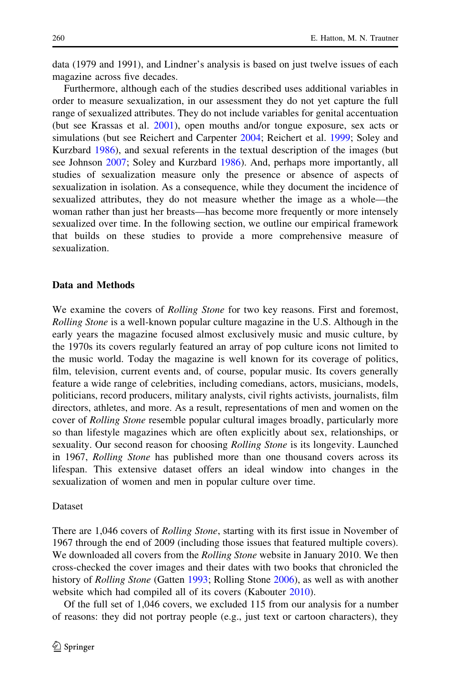data (1979 and 1991), and Lindner's analysis is based on just twelve issues of each magazine across five decades.

Furthermore, although each of the studies described uses additional variables in order to measure sexualization, in our assessment they do not yet capture the full range of sexualized attributes. They do not include variables for genital accentuation (but see Krassas et al. [2001\)](#page-20-0), open mouths and/or tongue exposure, sex acts or simulations (but see Reichert and Carpenter [2004](#page-21-0); Reichert et al. [1999;](#page-21-0) Soley and Kurzbard [1986](#page-21-0)), and sexual referents in the textual description of the images (but see Johnson [2007](#page-20-0); Soley and Kurzbard [1986\)](#page-21-0). And, perhaps more importantly, all studies of sexualization measure only the presence or absence of aspects of sexualization in isolation. As a consequence, while they document the incidence of sexualized attributes, they do not measure whether the image as a whole—the woman rather than just her breasts—has become more frequently or more intensely sexualized over time. In the following section, we outline our empirical framework that builds on these studies to provide a more comprehensive measure of sexualization.

### Data and Methods

We examine the covers of *Rolling Stone* for two key reasons. First and foremost, Rolling Stone is a well-known popular culture magazine in the U.S. Although in the early years the magazine focused almost exclusively music and music culture, by the 1970s its covers regularly featured an array of pop culture icons not limited to the music world. Today the magazine is well known for its coverage of politics, film, television, current events and, of course, popular music. Its covers generally feature a wide range of celebrities, including comedians, actors, musicians, models, politicians, record producers, military analysts, civil rights activists, journalists, film directors, athletes, and more. As a result, representations of men and women on the cover of Rolling Stone resemble popular cultural images broadly, particularly more so than lifestyle magazines which are often explicitly about sex, relationships, or sexuality. Our second reason for choosing *Rolling Stone* is its longevity. Launched in 1967, Rolling Stone has published more than one thousand covers across its lifespan. This extensive dataset offers an ideal window into changes in the sexualization of women and men in popular culture over time.

#### Dataset

There are 1,046 covers of *Rolling Stone*, starting with its first issue in November of 1967 through the end of 2009 (including those issues that featured multiple covers). We downloaded all covers from the *Rolling Stone* website in January 2010. We then cross-checked the cover images and their dates with two books that chronicled the history of *Rolling Stone* (Gatten [1993;](#page-19-0) Rolling Stone [2006\)](#page-21-0), as well as with another website which had compiled all of its covers (Kabouter [2010](#page-20-0)).

Of the full set of 1,046 covers, we excluded 115 from our analysis for a number of reasons: they did not portray people (e.g., just text or cartoon characters), they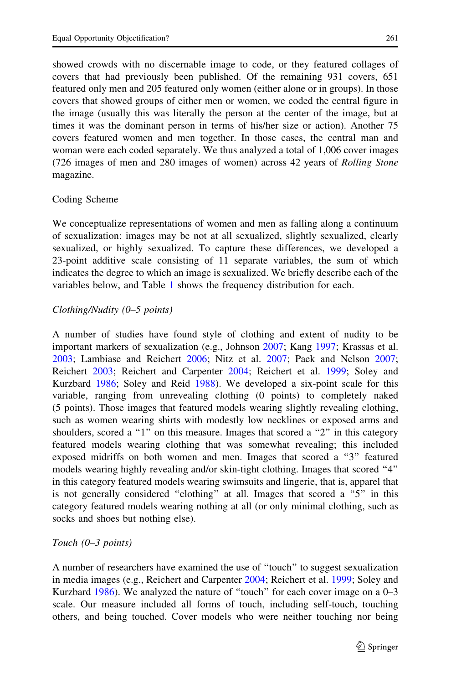showed crowds with no discernable image to code, or they featured collages of covers that had previously been published. Of the remaining 931 covers, 651 featured only men and 205 featured only women (either alone or in groups). In those covers that showed groups of either men or women, we coded the central figure in the image (usually this was literally the person at the center of the image, but at times it was the dominant person in terms of his/her size or action). Another 75 covers featured women and men together. In those cases, the central man and woman were each coded separately. We thus analyzed a total of 1,006 cover images (726 images of men and 280 images of women) across 42 years of Rolling Stone magazine.

### Coding Scheme

We conceptualize representations of women and men as falling along a continuum of sexualization: images may be not at all sexualized, slightly sexualized, clearly sexualized, or highly sexualized. To capture these differences, we developed a 23-point additive scale consisting of 11 separate variables, the sum of which indicates the degree to which an image is sexualized. We briefly describe each of the variables below, and Table [1](#page-6-0) shows the frequency distribution for each.

#### Clothing/Nudity (0–5 points)

A number of studies have found style of clothing and extent of nudity to be important markers of sexualization (e.g., Johnson [2007](#page-20-0); Kang [1997](#page-20-0); Krassas et al. [2003;](#page-20-0) Lambiase and Reichert [2006;](#page-20-0) Nitz et al. [2007;](#page-20-0) Paek and Nelson [2007;](#page-21-0) Reichert [2003](#page-21-0); Reichert and Carpenter [2004](#page-21-0); Reichert et al. [1999;](#page-21-0) Soley and Kurzbard [1986](#page-21-0); Soley and Reid [1988\)](#page-21-0). We developed a six-point scale for this variable, ranging from unrevealing clothing (0 points) to completely naked (5 points). Those images that featured models wearing slightly revealing clothing, such as women wearing shirts with modestly low necklines or exposed arms and shoulders, scored a "1" on this measure. Images that scored a "2" in this category featured models wearing clothing that was somewhat revealing; this included exposed midriffs on both women and men. Images that scored a "3" featured models wearing highly revealing and/or skin-tight clothing. Images that scored ''4'' in this category featured models wearing swimsuits and lingerie, that is, apparel that is not generally considered "clothing" at all. Images that scored a "5" in this category featured models wearing nothing at all (or only minimal clothing, such as socks and shoes but nothing else).

## Touch (0–3 points)

A number of researchers have examined the use of ''touch'' to suggest sexualization in media images (e.g., Reichert and Carpenter [2004;](#page-21-0) Reichert et al. [1999;](#page-21-0) Soley and Kurzbard [1986\)](#page-21-0). We analyzed the nature of "touch" for each cover image on a 0–3 scale. Our measure included all forms of touch, including self-touch, touching others, and being touched. Cover models who were neither touching nor being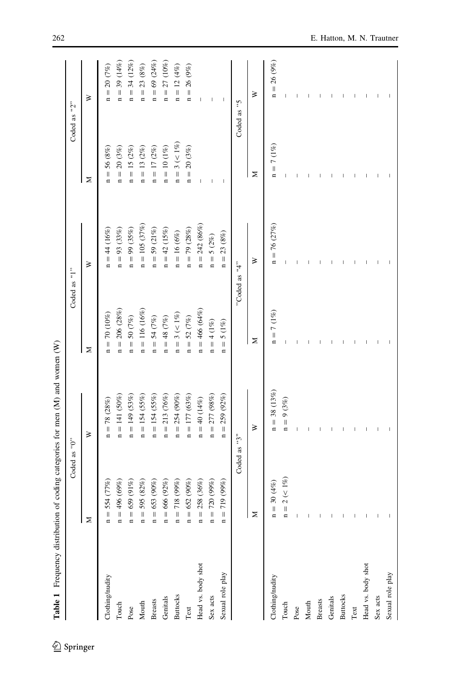<span id="page-6-0"></span>

|                    |                                 | Coded as "0"                                                 |                                  | Coded as "1"    |                | Coded as "2"               |
|--------------------|---------------------------------|--------------------------------------------------------------|----------------------------------|-----------------|----------------|----------------------------|
|                    | $\vert$ $\geq$                  | ≽                                                            | Σ                                | ≽               | Σ              | ≽                          |
| Clothing/nudity    | $=$ 554 (77%)<br>n              | $n=78~(28\%)$                                                | $n = 70(10%)$                    | $n = 44 (16\%)$ | $= 56 (8\%)$   | $n = 20 (7%)$              |
| Touch              | $= 496(69%$<br>n                | $= 141(50\%)$<br>$\blacksquare$                              | $= 206 (28%)$                    | $n = 93(33%)$   | $= 20 (3%)$    | $n = 39(14\%)$             |
| Pose               | $= 659(91\%)$<br>$\mathbf{r}$   | $n = 149$ (53%)                                              | $n = 50 (7%)$                    | $n = 99$ (35%)  | $n = 15 (2\%)$ | $n = 34(12\%)$             |
| Mouth              | $= 595 (82%)$<br>$\mathbf{a}$   | $= 154 (55%)$<br>$\blacksquare$                              | $n = 116 (16\%)$                 | $n = 105$ (37%) | $= 13 (2\%)$   | $=23(8\%)$<br>$\mathbf{u}$ |
| <b>Breasts</b>     | $= 653 (90\%)$<br>$\mathbf{r}$  | $= 154 (55%)$<br>$\blacksquare$                              | $n = 54 (7%)$                    | $n=59$ $(21\%)$ | $n = 17 (2\%)$ | $n = 69 (24\%)$            |
| Genitals           | $= 666 (92%)$<br>$\blacksquare$ | 213 (76%)<br>$\mathbf{I}$<br>$\mathbf{r}$                    | $= 48 (7\%)$<br>$\blacksquare$   | $n = 42$ (15%)  | $= 10(1\%)$    | $= 27 (10\%)$              |
| <b>Buttocks</b>    | $= 718(99%)$<br>$\blacksquare$  | 254 (90%)<br>$\label{eq:1} \ \hspace{1mm}$<br>$\blacksquare$ | $= 3 (-1\%)$<br>$\mathbf{r}$     | $n = 16(6%)$    | $n = 3$ (< 1%) | $n = 12(4%)$               |
| Text               | $= 652 (90\%)$<br>$\mathbf{a}$  | 177 (63%)<br>$\mathbf{a}$                                    | $= 52 (7%)$<br>$\blacksquare$    | $n = 79 (28%)$  | $= 20 (3\%)$   | $n = 26 (9\%)$             |
| Head vs. body shot | $= 258 (36%)$<br>n              | $= 40(14%$<br>$\blacksquare$                                 | $= 466 (64\%)$<br>$\blacksquare$ | $n = 242(86%)$  |                |                            |
| Sex acts           | $= 720(99%)$<br>$\mathbf{r}$    | $= 277 (98%)$<br>$\mathbf{I}$                                | $= 4(1%)$<br>$\blacksquare$      | $n = 5 (2%)$    |                |                            |
| Sexual role play   | $= 719$ (99%)<br>$\mathbf{a}$   | 259 (92%)<br>$\parallel$<br>$\mathbf{a}$                     | $= 5(1%)$<br>$\mathbf{u}$        | $n = 23(8%)$    |                |                            |
|                    |                                 | Coded as "3"                                                 |                                  | "Coded as "4"   |                | Coded as "5                |
|                    | ≍                               | ≽                                                            | Σ                                | ≽               | Σ              | ≽                          |
| Clothing/nudity    | $n = 30(4%)$                    | $=$ 38 (13%)                                                 | $= 7(1\%)$                       | $=76~(27\%)$    | $= 7(1%)$      | $= 26 (9\%)$               |
| Touch              | $n = 2 (= 1\%)$                 | $= 9(3%)$<br>$\mathbf{a}$                                    |                                  |                 |                |                            |
| $_{\mathrm{Pose}}$ |                                 |                                                              |                                  |                 |                |                            |
| Mouth              |                                 |                                                              |                                  |                 |                |                            |
| <b>Breasts</b>     |                                 |                                                              |                                  |                 |                |                            |
| Genitals           |                                 |                                                              |                                  |                 |                |                            |
| <b>Buttocks</b>    |                                 |                                                              |                                  |                 |                |                            |
| Text               |                                 |                                                              |                                  |                 |                |                            |
| Head vs. body shot |                                 |                                                              |                                  |                 |                |                            |
| Sex acts           |                                 |                                                              |                                  |                 |                |                            |
| Sexual role play   |                                 |                                                              |                                  |                 |                |                            |

**Table 1** Frequency distribution of coding categories for men  $(M)$  and women  $(W)$ Table 1 Frequency distribution of coding categories for men (M) and women (W)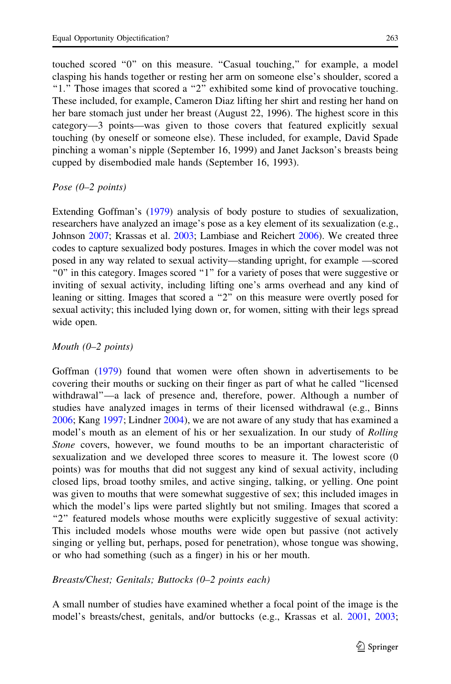touched scored ''0'' on this measure. ''Casual touching,'' for example, a model clasping his hands together or resting her arm on someone else's shoulder, scored a ''1.'' Those images that scored a ''2'' exhibited some kind of provocative touching. These included, for example, Cameron Diaz lifting her shirt and resting her hand on her bare stomach just under her breast (August 22, 1996). The highest score in this category—3 points—was given to those covers that featured explicitly sexual touching (by oneself or someone else). These included, for example, David Spade pinching a woman's nipple (September 16, 1999) and Janet Jackson's breasts being cupped by disembodied male hands (September 16, 1993).

## Pose (0–2 points)

Extending Goffman's ([1979](#page-19-0)) analysis of body posture to studies of sexualization, researchers have analyzed an image's pose as a key element of its sexualization (e.g., Johnson [2007](#page-20-0); Krassas et al. [2003;](#page-20-0) Lambiase and Reichert [2006\)](#page-20-0). We created three codes to capture sexualized body postures. Images in which the cover model was not posed in any way related to sexual activity—standing upright, for example —scored "0" in this category. Images scored "1" for a variety of poses that were suggestive or inviting of sexual activity, including lifting one's arms overhead and any kind of leaning or sitting. Images that scored a "2" on this measure were overtly posed for sexual activity; this included lying down or, for women, sitting with their legs spread wide open.

## Mouth (0–2 points)

Goffman [\(1979](#page-19-0)) found that women were often shown in advertisements to be covering their mouths or sucking on their finger as part of what he called ''licensed withdrawal''—a lack of presence and, therefore, power. Although a number of studies have analyzed images in terms of their licensed withdrawal (e.g., Binns [2006;](#page-19-0) Kang [1997](#page-20-0); Lindner [2004](#page-20-0)), we are not aware of any study that has examined a model's mouth as an element of his or her sexualization. In our study of Rolling Stone covers, however, we found mouths to be an important characteristic of sexualization and we developed three scores to measure it. The lowest score (0 points) was for mouths that did not suggest any kind of sexual activity, including closed lips, broad toothy smiles, and active singing, talking, or yelling. One point was given to mouths that were somewhat suggestive of sex; this included images in which the model's lips were parted slightly but not smiling. Images that scored a "2" featured models whose mouths were explicitly suggestive of sexual activity: This included models whose mouths were wide open but passive (not actively singing or yelling but, perhaps, posed for penetration), whose tongue was showing, or who had something (such as a finger) in his or her mouth.

## Breasts/Chest; Genitals; Buttocks (0–2 points each)

A small number of studies have examined whether a focal point of the image is the model's breasts/chest, genitals, and/or buttocks (e.g., Krassas et al. [2001,](#page-20-0) [2003;](#page-20-0)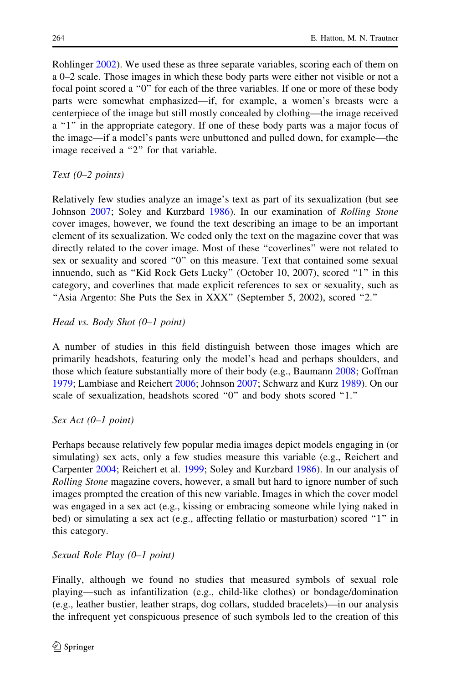Rohlinger [2002](#page-21-0)). We used these as three separate variables, scoring each of them on a 0–2 scale. Those images in which these body parts were either not visible or not a focal point scored a "0" for each of the three variables. If one or more of these body parts were somewhat emphasized—if, for example, a women's breasts were a centerpiece of the image but still mostly concealed by clothing—the image received a ''1'' in the appropriate category. If one of these body parts was a major focus of the image—if a model's pants were unbuttoned and pulled down, for example—the image received a "2" for that variable.

Text (0–2 points)

Relatively few studies analyze an image's text as part of its sexualization (but see Johnson [2007](#page-20-0); Soley and Kurzbard [1986](#page-21-0)). In our examination of Rolling Stone cover images, however, we found the text describing an image to be an important element of its sexualization. We coded only the text on the magazine cover that was directly related to the cover image. Most of these ''coverlines'' were not related to sex or sexuality and scored "0" on this measure. Text that contained some sexual innuendo, such as "Kid Rock Gets Lucky" (October 10, 2007), scored "1" in this category, and coverlines that made explicit references to sex or sexuality, such as "Asia Argento: She Puts the Sex in XXX" (September 5, 2002), scored "2."

Head vs. Body Shot (0–1 point)

A number of studies in this field distinguish between those images which are primarily headshots, featuring only the model's head and perhaps shoulders, and those which feature substantially more of their body (e.g., Baumann [2008;](#page-19-0) Goffman [1979;](#page-19-0) Lambiase and Reichert [2006;](#page-20-0) Johnson [2007](#page-20-0); Schwarz and Kurz [1989](#page-21-0)). On our scale of sexualization, headshots scored ''0'' and body shots scored ''1.''

## Sex Act (0–1 point)

Perhaps because relatively few popular media images depict models engaging in (or simulating) sex acts, only a few studies measure this variable (e.g., Reichert and Carpenter [2004](#page-21-0); Reichert et al. [1999](#page-21-0); Soley and Kurzbard [1986\)](#page-21-0). In our analysis of Rolling Stone magazine covers, however, a small but hard to ignore number of such images prompted the creation of this new variable. Images in which the cover model was engaged in a sex act (e.g., kissing or embracing someone while lying naked in bed) or simulating a sex act (e.g., affecting fellatio or masturbation) scored "1" in this category.

## Sexual Role Play (0–1 point)

Finally, although we found no studies that measured symbols of sexual role playing—such as infantilization (e.g., child-like clothes) or bondage/domination (e.g., leather bustier, leather straps, dog collars, studded bracelets)—in our analysis the infrequent yet conspicuous presence of such symbols led to the creation of this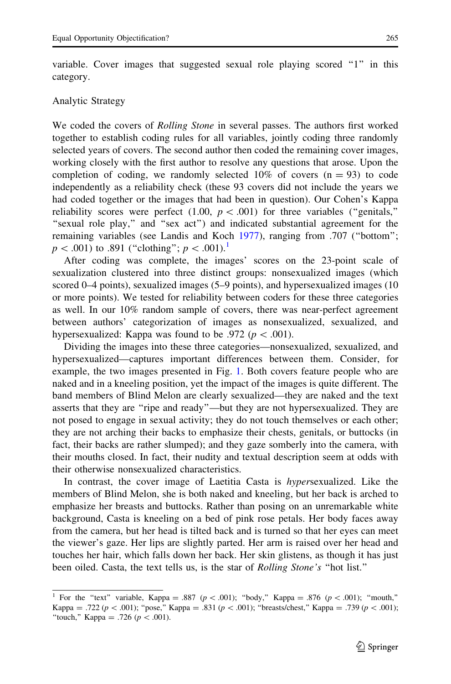variable. Cover images that suggested sexual role playing scored "1" in this category.

#### Analytic Strategy

We coded the covers of *Rolling Stone* in several passes. The authors first worked together to establish coding rules for all variables, jointly coding three randomly selected years of covers. The second author then coded the remaining cover images, working closely with the first author to resolve any questions that arose. Upon the completion of coding, we randomly selected  $10\%$  of covers (n = 93) to code independently as a reliability check (these 93 covers did not include the years we had coded together or the images that had been in question). Our Cohen's Kappa reliability scores were perfect (1.00,  $p < .001$ ) for three variables ("genitals," ''sexual role play,'' and ''sex act'') and indicated substantial agreement for the remaining variables (see Landis and Koch [1977\)](#page-20-0), ranging from .707 (''bottom'';  $p\lt$  .001) to .891 ("clothing";  $p\lt$  .001).<sup>1</sup>

After coding was complete, the images' scores on the 23-point scale of sexualization clustered into three distinct groups: nonsexualized images (which scored 0–4 points), sexualized images (5–9 points), and hypersexualized images (10 or more points). We tested for reliability between coders for these three categories as well. In our 10% random sample of covers, there was near-perfect agreement between authors' categorization of images as nonsexualized, sexualized, and hypersexualized: Kappa was found to be .972 ( $p\lt 0.001$ ).

Dividing the images into these three categories—nonsexualized, sexualized, and hypersexualized—captures important differences between them. Consider, for example, the two images presented in Fig. [1.](#page-10-0) Both covers feature people who are naked and in a kneeling position, yet the impact of the images is quite different. The band members of Blind Melon are clearly sexualized—they are naked and the text asserts that they are ''ripe and ready''—but they are not hypersexualized. They are not posed to engage in sexual activity; they do not touch themselves or each other; they are not arching their backs to emphasize their chests, genitals, or buttocks (in fact, their backs are rather slumped); and they gaze somberly into the camera, with their mouths closed. In fact, their nudity and textual description seem at odds with their otherwise nonsexualized characteristics.

In contrast, the cover image of Laetitia Casta is hypersexualized. Like the members of Blind Melon, she is both naked and kneeling, but her back is arched to emphasize her breasts and buttocks. Rather than posing on an unremarkable white background, Casta is kneeling on a bed of pink rose petals. Her body faces away from the camera, but her head is tilted back and is turned so that her eyes can meet the viewer's gaze. Her lips are slightly parted. Her arm is raised over her head and touches her hair, which falls down her back. Her skin glistens, as though it has just been oiled. Casta, the text tells us, is the star of *Rolling Stone's* "hot list."

<sup>&</sup>lt;sup>1</sup> For the "text" variable, Kappa = .887 ( $p < .001$ ); "body," Kappa = .876 ( $p < .001$ ); "mouth," Kappa = .722 ( $p \lt .001$ ); "pose," Kappa = .831 ( $p \lt .001$ ); "breasts/chest," Kappa = .739 ( $p \lt .001$ ); "touch," Kappa = .726 ( $p < .001$ ).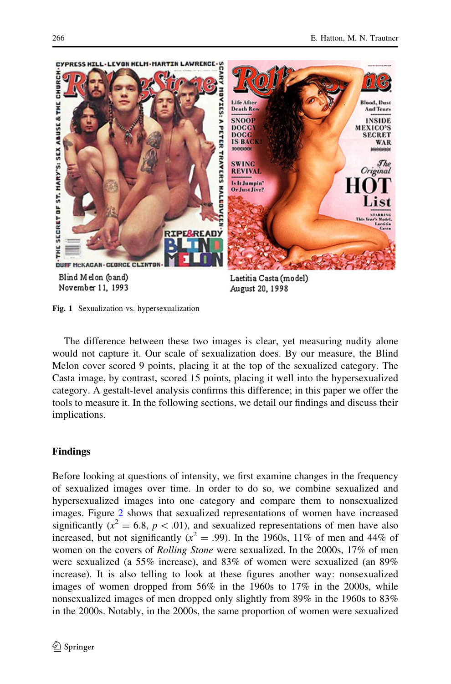<span id="page-10-0"></span>

August 20, 1998

Fig. 1 Sexualization vs. hypersexualization

November 11, 1993

The difference between these two images is clear, yet measuring nudity alone would not capture it. Our scale of sexualization does. By our measure, the Blind Melon cover scored 9 points, placing it at the top of the sexualized category. The Casta image, by contrast, scored 15 points, placing it well into the hypersexualized category. A gestalt-level analysis confirms this difference; in this paper we offer the tools to measure it. In the following sections, we detail our findings and discuss their implications.

## Findings

Before looking at questions of intensity, we first examine changes in the frequency of sexualized images over time. In order to do so, we combine sexualized and hypersexualized images into one category and compare them to nonsexualized images. Figure [2](#page-11-0) shows that sexualized representations of women have increased significantly ( $x^2 = 6.8$ ,  $p < .01$ ), and sexualized representations of men have also increased, but not significantly ( $x^2 = .99$ ). In the 1960s, 11% of men and 44% of women on the covers of Rolling Stone were sexualized. In the 2000s, 17% of men were sexualized (a 55% increase), and 83% of women were sexualized (an 89% increase). It is also telling to look at these figures another way: nonsexualized images of women dropped from 56% in the 1960s to 17% in the 2000s, while nonsexualized images of men dropped only slightly from 89% in the 1960s to 83% in the 2000s. Notably, in the 2000s, the same proportion of women were sexualized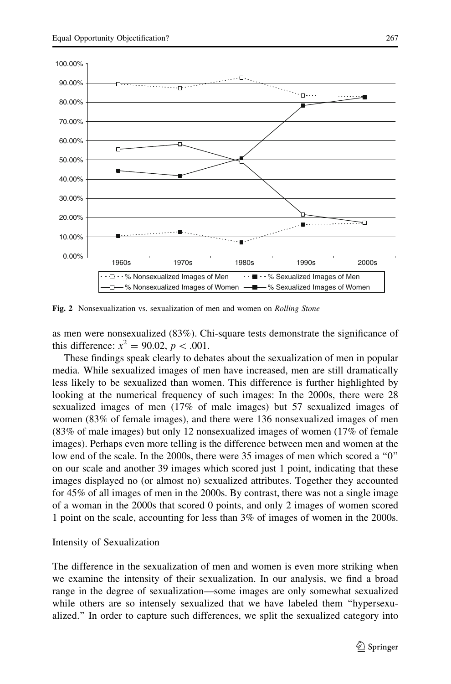<span id="page-11-0"></span>

Fig. 2 Nonsexualization vs. sexualization of men and women on Rolling Stone

as men were nonsexualized (83%). Chi-square tests demonstrate the significance of this difference:  $x^2 = 90.02$ ,  $p < .001$ .

These findings speak clearly to debates about the sexualization of men in popular media. While sexualized images of men have increased, men are still dramatically less likely to be sexualized than women. This difference is further highlighted by looking at the numerical frequency of such images: In the 2000s, there were 28 sexualized images of men (17% of male images) but 57 sexualized images of women (83% of female images), and there were 136 nonsexualized images of men (83% of male images) but only 12 nonsexualized images of women (17% of female images). Perhaps even more telling is the difference between men and women at the low end of the scale. In the 2000s, there were 35 images of men which scored a "0" on our scale and another 39 images which scored just 1 point, indicating that these images displayed no (or almost no) sexualized attributes. Together they accounted for 45% of all images of men in the 2000s. By contrast, there was not a single image of a woman in the 2000s that scored 0 points, and only 2 images of women scored 1 point on the scale, accounting for less than 3% of images of women in the 2000s.

### Intensity of Sexualization

The difference in the sexualization of men and women is even more striking when we examine the intensity of their sexualization. In our analysis, we find a broad range in the degree of sexualization—some images are only somewhat sexualized while others are so intensely sexualized that we have labeled them ''hypersexualized.'' In order to capture such differences, we split the sexualized category into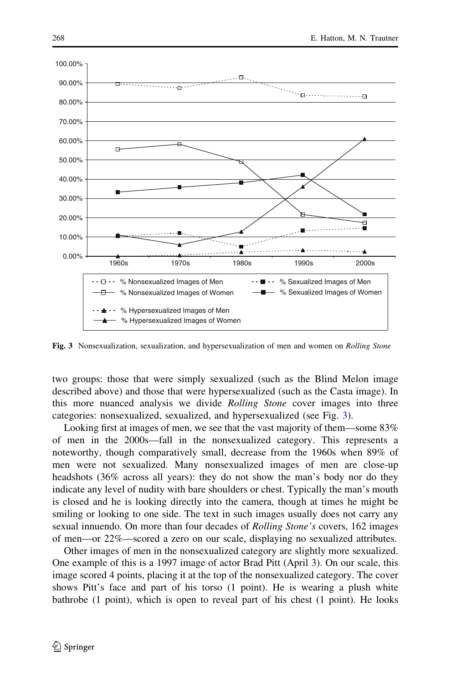

Fig. 3 Nonsexualization, sexualization, and hypersexualization of men and women on Rolling Stone

two groups: those that were simply sexualized (such as the Blind Melon image described above) and those that were hypersexualized (such as the Casta image). In this more nuanced analysis we divide *Rolling Stone* cover images into three categories: nonsexualized, sexualized, and hypersexualized (see Fig. 3).

Looking first at images of men, we see that the vast majority of them—some 83% of men in the 2000s—fall in the nonsexualized category. This represents a noteworthy, though comparatively small, decrease from the 1960s when 89% of men were not sexualized. Many nonsexualized images of men are close-up headshots (36% across all years): they do not show the man's body nor do they indicate any level of nudity with bare shoulders or chest. Typically the man's mouth is closed and he is looking directly into the camera, though at times he might be smiling or looking to one side. The text in such images usually does not carry any sexual innuendo. On more than four decades of *Rolling Stone's* covers, 162 images of men—or 22%—scored a zero on our scale, displaying no sexualized attributes.

Other images of men in the nonsexualized category are slightly more sexualized. One example of this is a 1997 image of actor Brad Pitt (April 3). On our scale, this image scored 4 points, placing it at the top of the nonsexualized category. The cover shows Pitt's face and part of his torso (1 point). He is wearing a plush white bathrobe (1 point), which is open to reveal part of his chest (1 point). He looks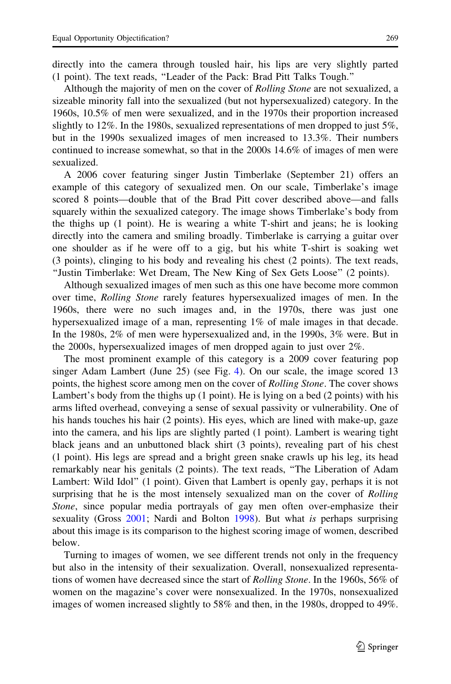directly into the camera through tousled hair, his lips are very slightly parted (1 point). The text reads, ''Leader of the Pack: Brad Pitt Talks Tough.''

Although the majority of men on the cover of *Rolling Stone* are not sexualized, a sizeable minority fall into the sexualized (but not hypersexualized) category. In the 1960s, 10.5% of men were sexualized, and in the 1970s their proportion increased slightly to 12%. In the 1980s, sexualized representations of men dropped to just 5%, but in the 1990s sexualized images of men increased to 13.3%. Their numbers continued to increase somewhat, so that in the 2000s 14.6% of images of men were sexualized.

A 2006 cover featuring singer Justin Timberlake (September 21) offers an example of this category of sexualized men. On our scale, Timberlake's image scored 8 points—double that of the Brad Pitt cover described above—and falls squarely within the sexualized category. The image shows Timberlake's body from the thighs up (1 point). He is wearing a white T-shirt and jeans; he is looking directly into the camera and smiling broadly. Timberlake is carrying a guitar over one shoulder as if he were off to a gig, but his white T-shirt is soaking wet (3 points), clinging to his body and revealing his chest (2 points). The text reads, ''Justin Timberlake: Wet Dream, The New King of Sex Gets Loose'' (2 points).

Although sexualized images of men such as this one have become more common over time, Rolling Stone rarely features hypersexualized images of men. In the 1960s, there were no such images and, in the 1970s, there was just one hypersexualized image of a man, representing 1% of male images in that decade. In the 1980s, 2% of men were hypersexualized and, in the 1990s, 3% were. But in the 2000s, hypersexualized images of men dropped again to just over 2%.

The most prominent example of this category is a 2009 cover featuring pop singer Adam Lambert (June 25) (see Fig. [4](#page-14-0)). On our scale, the image scored 13 points, the highest score among men on the cover of *Rolling Stone*. The cover shows Lambert's body from the thighs up (1 point). He is lying on a bed (2 points) with his arms lifted overhead, conveying a sense of sexual passivity or vulnerability. One of his hands touches his hair (2 points). His eyes, which are lined with make-up, gaze into the camera, and his lips are slightly parted (1 point). Lambert is wearing tight black jeans and an unbuttoned black shirt (3 points), revealing part of his chest (1 point). His legs are spread and a bright green snake crawls up his leg, its head remarkably near his genitals (2 points). The text reads, ''The Liberation of Adam Lambert: Wild Idol'' (1 point). Given that Lambert is openly gay, perhaps it is not surprising that he is the most intensely sexualized man on the cover of Rolling Stone, since popular media portrayals of gay men often over-emphasize their sexuality (Gross [2001;](#page-19-0) Nardi and Bolton [1998](#page-20-0)). But what is perhaps surprising about this image is its comparison to the highest scoring image of women, described below.

Turning to images of women, we see different trends not only in the frequency but also in the intensity of their sexualization. Overall, nonsexualized representations of women have decreased since the start of *Rolling Stone*. In the 1960s, 56% of women on the magazine's cover were nonsexualized. In the 1970s, nonsexualized images of women increased slightly to 58% and then, in the 1980s, dropped to 49%.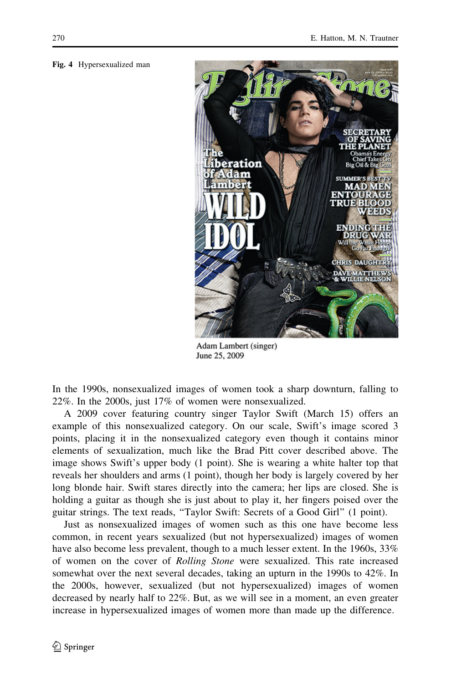#### <span id="page-14-0"></span>Fig. 4 Hypersexualized man



Adam Lambert (singer) June 25, 2009

In the 1990s, nonsexualized images of women took a sharp downturn, falling to 22%. In the 2000s, just 17% of women were nonsexualized.

A 2009 cover featuring country singer Taylor Swift (March 15) offers an example of this nonsexualized category. On our scale, Swift's image scored 3 points, placing it in the nonsexualized category even though it contains minor elements of sexualization, much like the Brad Pitt cover described above. The image shows Swift's upper body (1 point). She is wearing a white halter top that reveals her shoulders and arms (1 point), though her body is largely covered by her long blonde hair. Swift stares directly into the camera; her lips are closed. She is holding a guitar as though she is just about to play it, her fingers poised over the guitar strings. The text reads, ''Taylor Swift: Secrets of a Good Girl'' (1 point).

Just as nonsexualized images of women such as this one have become less common, in recent years sexualized (but not hypersexualized) images of women have also become less prevalent, though to a much lesser extent. In the 1960s, 33% of women on the cover of Rolling Stone were sexualized. This rate increased somewhat over the next several decades, taking an upturn in the 1990s to 42%. In the 2000s, however, sexualized (but not hypersexualized) images of women decreased by nearly half to 22%. But, as we will see in a moment, an even greater increase in hypersexualized images of women more than made up the difference.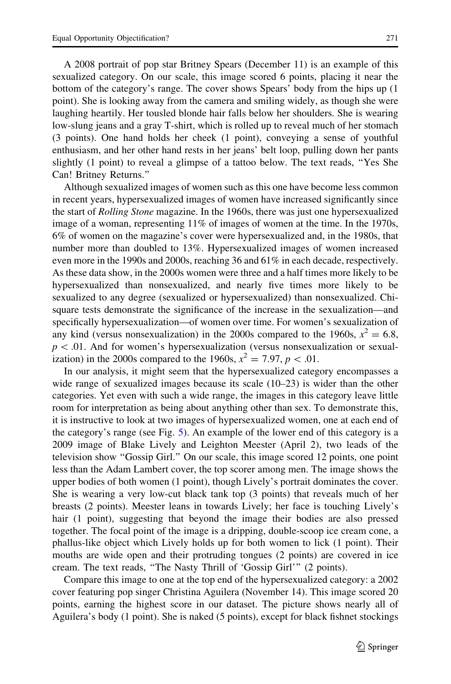A 2008 portrait of pop star Britney Spears (December 11) is an example of this sexualized category. On our scale, this image scored 6 points, placing it near the bottom of the category's range. The cover shows Spears' body from the hips up (1 point). She is looking away from the camera and smiling widely, as though she were laughing heartily. Her tousled blonde hair falls below her shoulders. She is wearing low-slung jeans and a gray T-shirt, which is rolled up to reveal much of her stomach (3 points). One hand holds her cheek (1 point), conveying a sense of youthful enthusiasm, and her other hand rests in her jeans' belt loop, pulling down her pants slightly (1 point) to reveal a glimpse of a tattoo below. The text reads, ''Yes She Can! Britney Returns.''

Although sexualized images of women such as this one have become less common in recent years, hypersexualized images of women have increased significantly since the start of Rolling Stone magazine. In the 1960s, there was just one hypersexualized image of a woman, representing 11% of images of women at the time. In the 1970s, 6% of women on the magazine's cover were hypersexualized and, in the 1980s, that number more than doubled to 13%. Hypersexualized images of women increased even more in the 1990s and 2000s, reaching 36 and 61% in each decade, respectively. As these data show, in the 2000s women were three and a half times more likely to be hypersexualized than nonsexualized, and nearly five times more likely to be sexualized to any degree (sexualized or hypersexualized) than nonsexualized. Chisquare tests demonstrate the significance of the increase in the sexualization—and specifically hypersexualization—of women over time. For women's sexualization of any kind (versus nonsexualization) in the 2000s compared to the 1960s,  $x^2 = 6.8$ ,  $p$  < .01. And for women's hypersexualization (versus nonsexualization or sexualization) in the 2000s compared to the 1960s,  $x^2 = 7.97$ ,  $p < .01$ .

In our analysis, it might seem that the hypersexualized category encompasses a wide range of sexualized images because its scale (10–23) is wider than the other categories. Yet even with such a wide range, the images in this category leave little room for interpretation as being about anything other than sex. To demonstrate this, it is instructive to look at two images of hypersexualized women, one at each end of the category's range (see Fig. [5\)](#page-16-0). An example of the lower end of this category is a 2009 image of Blake Lively and Leighton Meester (April 2), two leads of the television show ''Gossip Girl.'' On our scale, this image scored 12 points, one point less than the Adam Lambert cover, the top scorer among men. The image shows the upper bodies of both women (1 point), though Lively's portrait dominates the cover. She is wearing a very low-cut black tank top (3 points) that reveals much of her breasts (2 points). Meester leans in towards Lively; her face is touching Lively's hair (1 point), suggesting that beyond the image their bodies are also pressed together. The focal point of the image is a dripping, double-scoop ice cream cone, a phallus-like object which Lively holds up for both women to lick (1 point). Their mouths are wide open and their protruding tongues (2 points) are covered in ice cream. The text reads, "The Nasty Thrill of 'Gossip Girl'" (2 points).

Compare this image to one at the top end of the hypersexualized category: a 2002 cover featuring pop singer Christina Aguilera (November 14). This image scored 20 points, earning the highest score in our dataset. The picture shows nearly all of Aguilera's body (1 point). She is naked (5 points), except for black fishnet stockings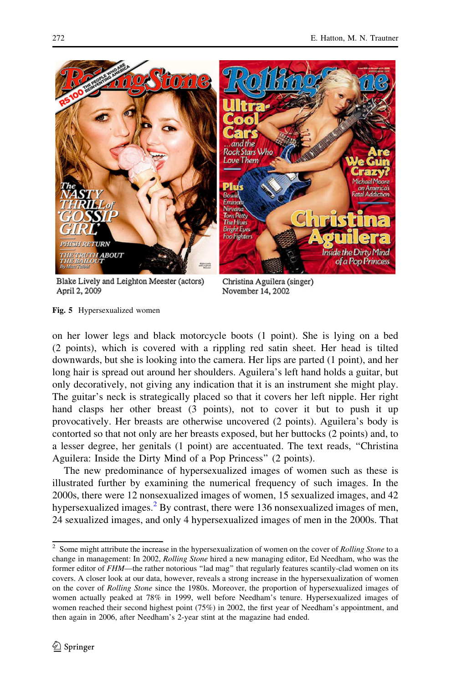<span id="page-16-0"></span>

Blake Lively and Leighton Meester (actors) April 2, 2009

Christina Aguilera (singer) November 14, 2002

Fig. 5 Hypersexualized women

on her lower legs and black motorcycle boots (1 point). She is lying on a bed (2 points), which is covered with a rippling red satin sheet. Her head is tilted downwards, but she is looking into the camera. Her lips are parted (1 point), and her long hair is spread out around her shoulders. Aguilera's left hand holds a guitar, but only decoratively, not giving any indication that it is an instrument she might play. The guitar's neck is strategically placed so that it covers her left nipple. Her right hand clasps her other breast (3 points), not to cover it but to push it up provocatively. Her breasts are otherwise uncovered (2 points). Aguilera's body is contorted so that not only are her breasts exposed, but her buttocks (2 points) and, to a lesser degree, her genitals (1 point) are accentuated. The text reads, ''Christina Aguilera: Inside the Dirty Mind of a Pop Princess'' (2 points).

The new predominance of hypersexualized images of women such as these is illustrated further by examining the numerical frequency of such images. In the 2000s, there were 12 nonsexualized images of women, 15 sexualized images, and 42 hypersexualized images.<sup>2</sup> By contrast, there were 136 nonsexualized images of men, 24 sexualized images, and only 4 hypersexualized images of men in the 2000s. That

<sup>&</sup>lt;sup>2</sup> Some might attribute the increase in the hypersexualization of women on the cover of *Rolling Stone* to a change in management: In 2002, *Rolling Stone* hired a new managing editor, Ed Needham, who was the former editor of FHM—the rather notorious ''lad mag'' that regularly features scantily-clad women on its covers. A closer look at our data, however, reveals a strong increase in the hypersexualization of women on the cover of Rolling Stone since the 1980s. Moreover, the proportion of hypersexualized images of women actually peaked at 78% in 1999, well before Needham's tenure. Hypersexualized images of women reached their second highest point (75%) in 2002, the first year of Needham's appointment, and then again in 2006, after Needham's 2-year stint at the magazine had ended.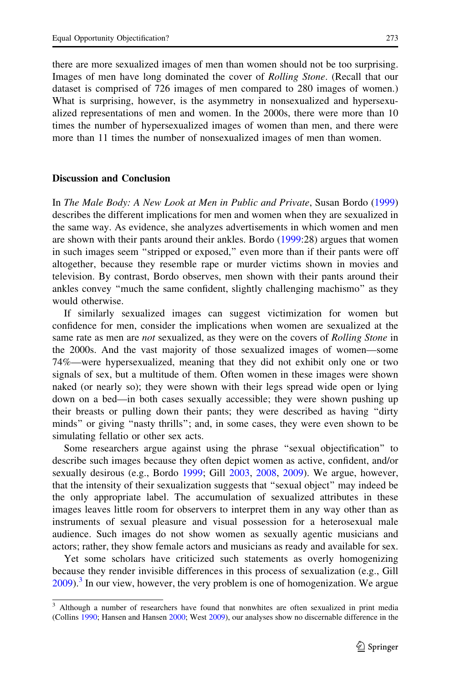there are more sexualized images of men than women should not be too surprising. Images of men have long dominated the cover of Rolling Stone. (Recall that our dataset is comprised of 726 images of men compared to 280 images of women.) What is surprising, however, is the asymmetry in nonsexualized and hypersexualized representations of men and women. In the 2000s, there were more than 10 times the number of hypersexualized images of women than men, and there were more than 11 times the number of nonsexualized images of men than women.

#### Discussion and Conclusion

In The Male Body: A New Look at Men in Public and Private, Susan Bordo [\(1999\)](#page-19-0) describes the different implications for men and women when they are sexualized in the same way. As evidence, she analyzes advertisements in which women and men are shown with their pants around their ankles. Bordo ([1999](#page-19-0):28) argues that women in such images seem ''stripped or exposed,'' even more than if their pants were off altogether, because they resemble rape or murder victims shown in movies and television. By contrast, Bordo observes, men shown with their pants around their ankles convey ''much the same confident, slightly challenging machismo'' as they would otherwise.

If similarly sexualized images can suggest victimization for women but confidence for men, consider the implications when women are sexualized at the same rate as men are *not* sexualized, as they were on the covers of *Rolling Stone* in the 2000s. And the vast majority of those sexualized images of women—some 74%—were hypersexualized, meaning that they did not exhibit only one or two signals of sex, but a multitude of them. Often women in these images were shown naked (or nearly so); they were shown with their legs spread wide open or lying down on a bed—in both cases sexually accessible; they were shown pushing up their breasts or pulling down their pants; they were described as having ''dirty minds'' or giving ''nasty thrills''; and, in some cases, they were even shown to be simulating fellatio or other sex acts.

Some researchers argue against using the phrase ''sexual objectification'' to describe such images because they often depict women as active, confident, and/or sexually desirous (e.g., Bordo [1999;](#page-19-0) Gill [2003](#page-19-0), [2008,](#page-19-0) [2009\)](#page-19-0). We argue, however, that the intensity of their sexualization suggests that ''sexual object'' may indeed be the only appropriate label. The accumulation of sexualized attributes in these images leaves little room for observers to interpret them in any way other than as instruments of sexual pleasure and visual possession for a heterosexual male audience. Such images do not show women as sexually agentic musicians and actors; rather, they show female actors and musicians as ready and available for sex.

Yet some scholars have criticized such statements as overly homogenizing because they render invisible differences in this process of sexualization (e.g., Gill  $2009$ ).<sup>3</sup> In our view, however, the very problem is one of homogenization. We argue

<sup>&</sup>lt;sup>3</sup> Although a number of researchers have found that nonwhites are often sexualized in print media (Collins [1990;](#page-19-0) Hansen and Hansen [2000;](#page-20-0) West [2009\)](#page-22-0), our analyses show no discernable difference in the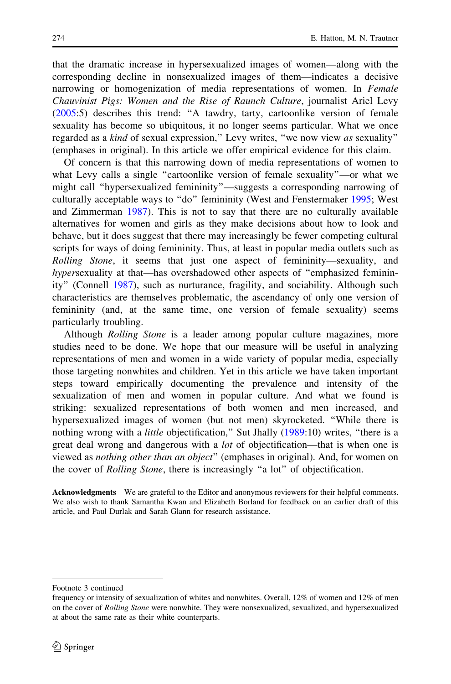that the dramatic increase in hypersexualized images of women—along with the corresponding decline in nonsexualized images of them—indicates a decisive narrowing or homogenization of media representations of women. In Female Chauvinist Pigs: Women and the Rise of Raunch Culture, journalist Ariel Levy [\(2005](#page-20-0):5) describes this trend: ''A tawdry, tarty, cartoonlike version of female sexuality has become so ubiquitous, it no longer seems particular. What we once regarded as a kind of sexual expression," Levy writes, "we now view as sexuality" (emphases in original). In this article we offer empirical evidence for this claim.

Of concern is that this narrowing down of media representations of women to what Levy calls a single "cartoonlike version of female sexuality"—or what we might call ''hypersexualized femininity''—suggests a corresponding narrowing of culturally acceptable ways to "do" femininity (West and Fenstermaker [1995](#page-22-0); West and Zimmerman [1987\)](#page-22-0). This is not to say that there are no culturally available alternatives for women and girls as they make decisions about how to look and behave, but it does suggest that there may increasingly be fewer competing cultural scripts for ways of doing femininity. Thus, at least in popular media outlets such as Rolling Stone, it seems that just one aspect of femininity—sexuality, and hypersexuality at that—has overshadowed other aspects of ''emphasized femininity'' (Connell [1987\)](#page-19-0), such as nurturance, fragility, and sociability. Although such characteristics are themselves problematic, the ascendancy of only one version of femininity (and, at the same time, one version of female sexuality) seems particularly troubling.

Although Rolling Stone is a leader among popular culture magazines, more studies need to be done. We hope that our measure will be useful in analyzing representations of men and women in a wide variety of popular media, especially those targeting nonwhites and children. Yet in this article we have taken important steps toward empirically documenting the prevalence and intensity of the sexualization of men and women in popular culture. And what we found is striking: sexualized representations of both women and men increased, and hypersexualized images of women (but not men) skyrocketed. ''While there is nothing wrong with a *little* objectification," Sut Jhally [\(1989:](#page-20-0)10) writes, "there is a great deal wrong and dangerous with a *lot* of objectification—that is when one is viewed as nothing other than an object'' (emphases in original). And, for women on the cover of Rolling Stone, there is increasingly ''a lot'' of objectification.

Acknowledgments We are grateful to the Editor and anonymous reviewers for their helpful comments. We also wish to thank Samantha Kwan and Elizabeth Borland for feedback on an earlier draft of this article, and Paul Durlak and Sarah Glann for research assistance.

Footnote 3 continued

frequency or intensity of sexualization of whites and nonwhites. Overall, 12% of women and 12% of men on the cover of Rolling Stone were nonwhite. They were nonsexualized, sexualized, and hypersexualized at about the same rate as their white counterparts.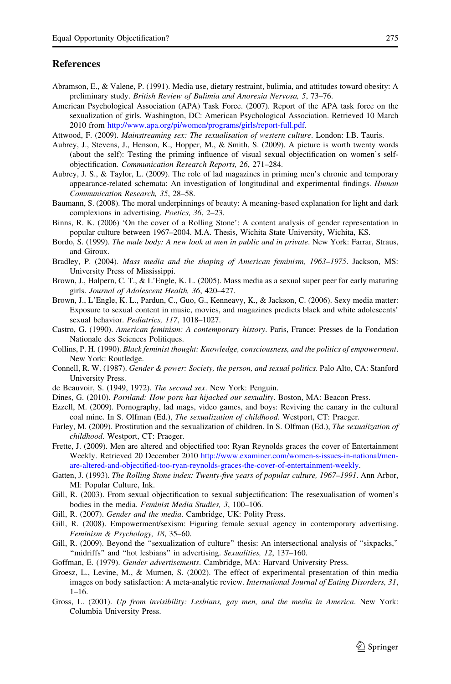#### <span id="page-19-0"></span>**References**

- Abramson, E., & Valene, P. (1991). Media use, dietary restraint, bulimia, and attitudes toward obesity: A preliminary study. British Review of Bulimia and Anorexia Nervosa, 5, 73–76.
- American Psychological Association (APA) Task Force. (2007). Report of the APA task force on the sexualization of girls. Washington, DC: American Psychological Association. Retrieved 10 March 2010 from <http://www.apa.org/pi/women/programs/girls/report-full.pdf>.
- Attwood, F. (2009). Mainstreaming sex: The sexualisation of western culture. London: I.B. Tauris.
- Aubrey, J., Stevens, J., Henson, K., Hopper, M., & Smith, S. (2009). A picture is worth twenty words (about the self): Testing the priming influence of visual sexual objectification on women's selfobjectification. Communication Research Reports, 26, 271–284.
- Aubrey, J. S., & Taylor, L. (2009). The role of lad magazines in priming men's chronic and temporary appearance-related schemata: An investigation of longitudinal and experimental findings. Human Communication Research, 35, 28–58.
- Baumann, S. (2008). The moral underpinnings of beauty: A meaning-based explanation for light and dark complexions in advertising. Poetics, 36, 2–23.
- Binns, R. K. (2006) 'On the cover of a Rolling Stone': A content analysis of gender representation in popular culture between 1967–2004. M.A. Thesis, Wichita State University, Wichita, KS.
- Bordo, S. (1999). The male body: A new look at men in public and in private. New York: Farrar, Straus, and Giroux.
- Bradley, P. (2004). Mass media and the shaping of American feminism, 1963–1975. Jackson, MS: University Press of Mississippi.
- Brown, J., Halpern, C. T., & L'Engle, K. L. (2005). Mass media as a sexual super peer for early maturing girls. Journal of Adolescent Health, 36, 420–427.
- Brown, J., L'Engle, K. L., Pardun, C., Guo, G., Kenneavy, K., & Jackson, C. (2006). Sexy media matter: Exposure to sexual content in music, movies, and magazines predicts black and white adolescents' sexual behavior. Pediatrics, 117, 1018–1027.
- Castro, G. (1990). American feminism: A contemporary history. Paris, France: Presses de la Fondation Nationale des Sciences Politiques.
- Collins, P. H. (1990). Black feminist thought: Knowledge, consciousness, and the politics of empowerment. New York: Routledge.
- Connell, R. W. (1987). Gender & power: Society, the person, and sexual politics. Palo Alto, CA: Stanford University Press.
- de Beauvoir, S. (1949, 1972). The second sex. New York: Penguin.
- Dines, G. (2010). Pornland: How porn has hijacked our sexuality. Boston, MA: Beacon Press.
- Ezzell, M. (2009). Pornography, lad mags, video games, and boys: Reviving the canary in the cultural coal mine. In S. Olfman (Ed.), The sexualization of childhood. Westport, CT: Praeger.
- Farley, M. (2009). Prostitution and the sexualization of children. In S. Olfman (Ed.), The sexualization of childhood. Westport, CT: Praeger.
- Frette, J. (2009). Men are altered and objectified too: Ryan Reynolds graces the cover of Entertainment Weekly. Retrieved 20 December 2010 [http://www.examiner.com/women-s-issues-in-national/men](http://www.examiner.com/women-s-issues-in-national/men-are-altered-and-objectified-too-ryan-reynolds-graces-the-cover-of-entertainment-weekly)[are-altered-and-objectified-too-ryan-reynolds-graces-the-cover-of-entertainment-weekly.](http://www.examiner.com/women-s-issues-in-national/men-are-altered-and-objectified-too-ryan-reynolds-graces-the-cover-of-entertainment-weekly)
- Gatten, J. (1993). The Rolling Stone index: Twenty-five years of popular culture, 1967–1991. Ann Arbor, MI: Popular Culture, Ink.
- Gill, R. (2003). From sexual objectification to sexual subjectification: The resexualisation of women's bodies in the media. Feminist Media Studies, 3, 100–106.
- Gill, R. (2007). Gender and the media. Cambridge, UK: Polity Press.
- Gill, R. (2008). Empowerment/sexism: Figuring female sexual agency in contemporary advertising. Feminism & Psychology, 18, 35–60.
- Gill, R. (2009). Beyond the "sexualization of culture" thesis: An intersectional analysis of "sixpacks," "midriffs" and "hot lesbians" in advertising. Sexualities, 12, 137-160.
- Goffman, E. (1979). Gender advertisements. Cambridge, MA: Harvard University Press.
- Groesz, L., Levine, M., & Murnen, S. (2002). The effect of experimental presentation of thin media images on body satisfaction: A meta-analytic review. International Journal of Eating Disorders, 31, 1–16.
- Gross, L. (2001). Up from invisibility: Lesbians, gay men, and the media in America. New York: Columbia University Press.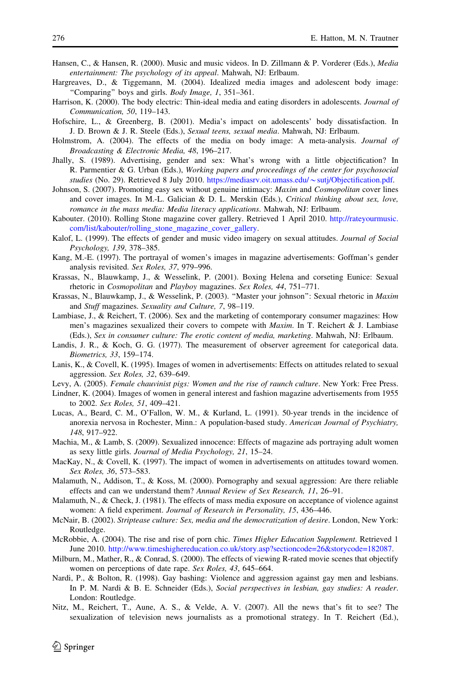- <span id="page-20-0"></span>Hansen, C., & Hansen, R. (2000). Music and music videos. In D. Zillmann & P. Vorderer (Eds.), Media entertainment: The psychology of its appeal. Mahwah, NJ: Erlbaum.
- Hargreaves, D., & Tiggemann, M. (2004). Idealized media images and adolescent body image: "Comparing" boys and girls. *Body Image*, 1, 351–361.
- Harrison, K. (2000). The body electric: Thin-ideal media and eating disorders in adolescents. *Journal of* Communication, 50, 119–143.
- Hofschire, L., & Greenberg, B. (2001). Media's impact on adolescents' body dissatisfaction. In J. D. Brown & J. R. Steele (Eds.), Sexual teens, sexual media. Mahwah, NJ: Erlbaum.
- Holmstrom, A. (2004). The effects of the media on body image: A meta-analysis. Journal of Broadcasting & Electronic Media, 48, 196–217.
- Jhally, S. (1989). Advertising, gender and sex: What's wrong with a little objectification? In R. Parmentier & G. Urban (Eds.), Working papers and proceedings of the center for psychosocial studies (No. 29). Retrieved 8 July 2010. https://mediasry.oit.umass.edu/ $\sim$ sutj/Objectification.pdf.
- Johnson, S. (2007). Promoting easy sex without genuine intimacy: *Maxim* and *Cosmopolitan* cover lines and cover images. In M.-L. Galician & D. L. Merskin (Eds.), Critical thinking about sex, love, romance in the mass media: Media literacy applications. Mahwah, NJ: Erlbaum.
- Kabouter. (2010). Rolling Stone magazine cover gallery. Retrieved 1 April 2010. [http://rateyourmusic.](http://rateyourmusic.com/list/kabouter/rolling_stone_magazine_cover_gallery) [com/list/kabouter/rolling\\_stone\\_magazine\\_cover\\_gallery.](http://rateyourmusic.com/list/kabouter/rolling_stone_magazine_cover_gallery)
- Kalof, L. (1999). The effects of gender and music video imagery on sexual attitudes. *Journal of Social* Psychology, 139, 378–385.
- Kang, M.-E. (1997). The portrayal of women's images in magazine advertisements: Goffman's gender analysis revisited. Sex Roles, 37, 979–996.
- Krassas, N., Blauwkamp, J., & Wesselink, P. (2001). Boxing Helena and corseting Eunice: Sexual rhetoric in Cosmopolitan and Playboy magazines. Sex Roles, 44, 751–771.
- Krassas, N., Blauwkamp, J., & Wesselink, P. (2003). "Master your johnson": Sexual rhetoric in Maxim and Stuff magazines. Sexuality and Culture, 7, 98–119.
- Lambiase, J., & Reichert, T. (2006). Sex and the marketing of contemporary consumer magazines: How men's magazines sexualized their covers to compete with Maxim. In T. Reichert & J. Lambiase (Eds.), Sex in consumer culture: The erotic content of media, marketing. Mahwah, NJ: Erlbaum.
- Landis, J. R., & Koch, G. G. (1977). The measurement of observer agreement for categorical data. Biometrics, 33, 159–174.
- Lanis, K., & Covell, K. (1995). Images of women in advertisements: Effects on attitudes related to sexual aggression. Sex Roles, 32, 639–649.
- Levy, A. (2005). Female chauvinist pigs: Women and the rise of raunch culture. New York: Free Press.
- Lindner, K. (2004). Images of women in general interest and fashion magazine advertisements from 1955 to 2002. Sex Roles, 51, 409–421.
- Lucas, A., Beard, C. M., O'Fallon, W. M., & Kurland, L. (1991). 50-year trends in the incidence of anorexia nervosa in Rochester, Minn.: A population-based study. American Journal of Psychiatry, 148, 917–922.
- Machia, M., & Lamb, S. (2009). Sexualized innocence: Effects of magazine ads portraying adult women as sexy little girls. Journal of Media Psychology, 21, 15–24.
- MacKay, N., & Covell, K. (1997). The impact of women in advertisements on attitudes toward women. Sex Roles, 36, 573–583.
- Malamuth, N., Addison, T., & Koss, M. (2000). Pornography and sexual aggression: Are there reliable effects and can we understand them? Annual Review of Sex Research, 11, 26–91.
- Malamuth, N., & Check, J. (1981). The effects of mass media exposure on acceptance of violence against women: A field experiment. Journal of Research in Personality, 15, 436-446.
- McNair, B. (2002). Striptease culture: Sex, media and the democratization of desire. London, New York: Routledge.
- McRobbie, A. (2004). The rise and rise of porn chic. Times Higher Education Supplement. Retrieved 1 June 2010. <http://www.timeshighereducation.co.uk/story.asp?sectioncode=26&storycode=182087>.
- Milburn, M., Mather, R., & Conrad, S. (2000). The effects of viewing R-rated movie scenes that objectify women on perceptions of date rape. Sex Roles, 43, 645–664.
- Nardi, P., & Bolton, R. (1998). Gay bashing: Violence and aggression against gay men and lesbians. In P. M. Nardi & B. E. Schneider (Eds.), Social perspectives in lesbian, gay studies: A reader. London: Routledge.
- Nitz, M., Reichert, T., Aune, A. S., & Velde, A. V. (2007). All the news that's fit to see? The sexualization of television news journalists as a promotional strategy. In T. Reichert (Ed.),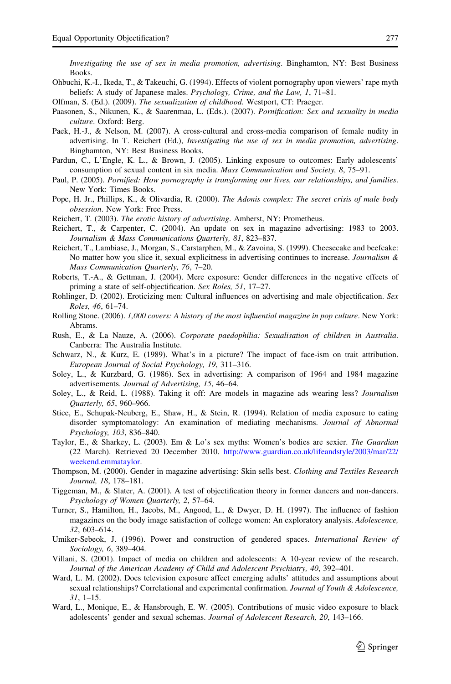<span id="page-21-0"></span>Investigating the use of sex in media promotion, advertising. Binghamton, NY: Best Business Books.

- Ohbuchi, K.-I., Ikeda, T., & Takeuchi, G. (1994). Effects of violent pornography upon viewers' rape myth beliefs: A study of Japanese males. Psychology, Crime, and the Law, 1, 71–81.
- Olfman, S. (Ed.). (2009). The sexualization of childhood. Westport, CT: Praeger.
- Paasonen, S., Nikunen, K., & Saarenmaa, L. (Eds.). (2007). Pornification: Sex and sexuality in media culture. Oxford: Berg.
- Paek, H.-J., & Nelson, M. (2007). A cross-cultural and cross-media comparison of female nudity in advertising. In T. Reichert (Ed.), Investigating the use of sex in media promotion, advertising. Binghamton, NY: Best Business Books.
- Pardun, C., L'Engle, K. L., & Brown, J. (2005). Linking exposure to outcomes: Early adolescents' consumption of sexual content in six media. Mass Communication and Society, 8, 75–91.
- Paul, P. (2005). Pornified: How pornography is transforming our lives, our relationships, and families. New York: Times Books.
- Pope, H. Jr., Phillips, K., & Olivardia, R. (2000). The Adonis complex: The secret crisis of male body obsession. New York: Free Press.
- Reichert, T. (2003). The erotic history of advertising. Amherst, NY: Prometheus.
- Reichert, T., & Carpenter, C. (2004). An update on sex in magazine advertising: 1983 to 2003. Journalism & Mass Communications Quarterly, 81, 823–837.
- Reichert, T., Lambiase, J., Morgan, S., Carstarphen, M., & Zavoina, S. (1999). Cheesecake and beefcake: No matter how you slice it, sexual explicitness in advertising continues to increase. Journalism  $\&$ Mass Communication Quarterly, 76, 7–20.
- Roberts, T.-A., & Gettman, J. (2004). Mere exposure: Gender differences in the negative effects of priming a state of self-objectification. Sex Roles, 51, 17–27.
- Rohlinger, D. (2002). Eroticizing men: Cultural influences on advertising and male objectification. Sex Roles, 46, 61–74.
- Rolling Stone. (2006). 1,000 covers: A history of the most influential magazine in pop culture. New York: Abrams.
- Rush, E., & La Nauze, A. (2006). Corporate paedophilia: Sexualisation of children in Australia. Canberra: The Australia Institute.
- Schwarz, N., & Kurz, E. (1989). What's in a picture? The impact of face-ism on trait attribution. European Journal of Social Psychology, 19, 311–316.
- Soley, L., & Kurzbard, G. (1986). Sex in advertising: A comparison of 1964 and 1984 magazine advertisements. Journal of Advertising, 15, 46–64.
- Soley, L., & Reid, L. (1988). Taking it off: Are models in magazine ads wearing less? Journalism Quarterly, 65, 960–966.
- Stice, E., Schupak-Neuberg, E., Shaw, H., & Stein, R. (1994). Relation of media exposure to eating disorder symptomatology: An examination of mediating mechanisms. Journal of Abnormal Psychology, 103, 836–840.
- Taylor, E., & Sharkey, L. (2003). Em & Lo's sex myths: Women's bodies are sexier. The Guardian (22 March). Retrieved 20 December 2010. [http://www.guardian.co.uk/lifeandstyle/2003/mar/22/](http://www.guardian.co.uk/lifeandstyle/2003/mar/22/weekend.emmataylor) [weekend.emmataylor.](http://www.guardian.co.uk/lifeandstyle/2003/mar/22/weekend.emmataylor)
- Thompson, M. (2000). Gender in magazine advertising: Skin sells best. Clothing and Textiles Research Journal, 18, 178–181.
- Tiggeman, M., & Slater, A. (2001). A test of objectification theory in former dancers and non-dancers. Psychology of Women Quarterly, 2, 57–64.
- Turner, S., Hamilton, H., Jacobs, M., Angood, L., & Dwyer, D. H. (1997). The influence of fashion magazines on the body image satisfaction of college women: An exploratory analysis. Adolescence, 32, 603–614.
- Umiker-Sebeok, J. (1996). Power and construction of gendered spaces. International Review of Sociology, 6, 389–404.
- Villani, S. (2001). Impact of media on children and adolescents: A 10-year review of the research. Journal of the American Academy of Child and Adolescent Psychiatry, 40, 392–401.
- Ward, L. M. (2002). Does television exposure affect emerging adults' attitudes and assumptions about sexual relationships? Correlational and experimental confirmation. Journal of Youth & Adolescence, 31, 1–15.
- Ward, L., Monique, E., & Hansbrough, E. W. (2005). Contributions of music video exposure to black adolescents' gender and sexual schemas. Journal of Adolescent Research, 20, 143–166.